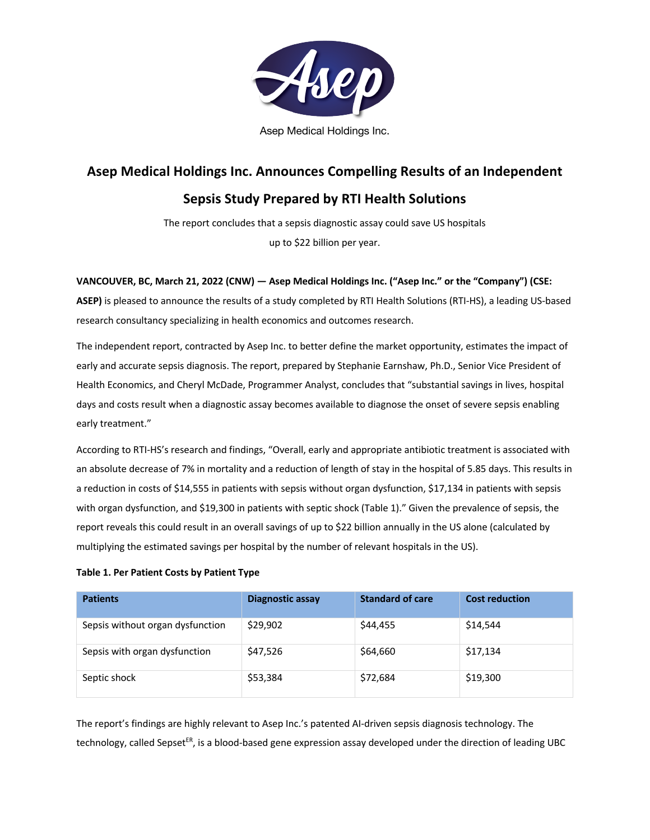

Asep Medical Holdings Inc.

# **Asep Medical Holdings Inc. Announces Compelling Results of an Independent**

# **Sepsis Study Prepared by RTI Health Solutions**

The report concludes that a sepsis diagnostic assay could save US hospitals up to \$22 billion per year.

### **VANCOUVER, BC, March 21, 2022 (CNW) — Asep Medical Holdings Inc. ("Asep Inc." or the "Company") (CSE:**

**ASEP)** is pleased to announce the results of a study completed by RTI Health Solutions (RTI-HS), a leading US-based research consultancy specializing in health economics and outcomes research.

The independent report, contracted by Asep Inc. to better define the market opportunity, estimates the impact of early and accurate sepsis diagnosis. The report, prepared by Stephanie Earnshaw, Ph.D., Senior Vice President of Health Economics, and Cheryl McDade, Programmer Analyst, concludes that "substantial savings in lives, hospital days and costs result when a diagnostic assay becomes available to diagnose the onset of severe sepsis enabling early treatment."

According to RTI-HS's research and findings, "Overall, early and appropriate antibiotic treatment is associated with an absolute decrease of 7% in mortality and a reduction of length of stay in the hospital of 5.85 days. This results in a reduction in costs of \$14,555 in patients with sepsis without organ dysfunction, \$17,134 in patients with sepsis with organ dysfunction, and \$19,300 in patients with septic shock (Table 1)." Given the prevalence of sepsis, the report reveals this could result in an overall savings of up to \$22 billion annually in the US alone (calculated by multiplying the estimated savings per hospital by the number of relevant hospitals in the US).

### **Table 1. Per Patient Costs by Patient Type**

| <b>Patients</b>                  | <b>Diagnostic assay</b> | <b>Standard of care</b> | <b>Cost reduction</b> |
|----------------------------------|-------------------------|-------------------------|-----------------------|
| Sepsis without organ dysfunction | \$29,902                | \$44,455                | \$14,544              |
| Sepsis with organ dysfunction    | \$47,526                | \$64,660                | \$17,134              |
| Septic shock                     | \$53,384                | \$72,684                | \$19,300              |

The report's findings are highly relevant to Asep Inc.'s patented AI-driven sepsis diagnosis technology. The technology, called Sepset<sup>ER</sup>, is a blood-based gene expression assay developed under the direction of leading UBC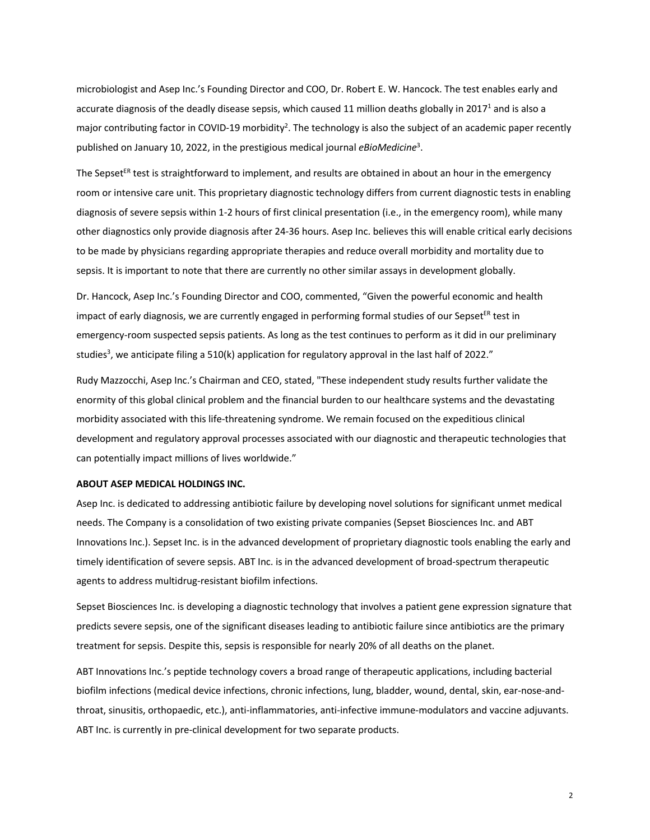microbiologist and Asep Inc.'s Founding Director and COO, Dr. Robert E. W. Hancock. The test enables early and accurate diagnosis of the deadly disease sepsis, which caused 11 million deaths globally in 2017<sup>1</sup> and is also a major contributing factor in COVID-19 morbidity<sup>2</sup>. The technology is also the subject of an academic paper recently published on January 10, 2022, in the prestigious medical journal *eBioMedicine*<sup>3</sup> .

The Sepset<sup>ER</sup> test is straightforward to implement, and results are obtained in about an hour in the emergency room or intensive care unit. This proprietary diagnostic technology differs from current diagnostic tests in enabling diagnosis of severe sepsis within 1-2 hours of first clinical presentation (i.e., in the emergency room), while many other diagnostics only provide diagnosis after 24-36 hours. Asep Inc. believes this will enable critical early decisions to be made by physicians regarding appropriate therapies and reduce overall morbidity and mortality due to sepsis. It is important to note that there are currently no other similar assays in development globally.

Dr. Hancock, Asep Inc.'s Founding Director and COO, commented, "Given the powerful economic and health impact of early diagnosis, we are currently engaged in performing formal studies of our Sepset<sup>ER</sup> test in emergency-room suspected sepsis patients. As long as the test continues to perform as it did in our preliminary studies<sup>3</sup>, we anticipate filing a 510(k) application for regulatory approval in the last half of 2022."

Rudy Mazzocchi, Asep Inc.'s Chairman and CEO, stated, "These independent study results further validate the enormity of this global clinical problem and the financial burden to our healthcare systems and the devastating morbidity associated with this life-threatening syndrome. We remain focused on the expeditious clinical development and regulatory approval processes associated with our diagnostic and therapeutic technologies that can potentially impact millions of lives worldwide."

#### **ABOUT ASEP MEDICAL HOLDINGS INC.**

Asep Inc. is dedicated to addressing antibiotic failure by developing novel solutions for significant unmet medical needs. The Company is a consolidation of two existing private companies (Sepset Biosciences Inc. and ABT Innovations Inc.). Sepset Inc. is in the advanced development of proprietary diagnostic tools enabling the early and timely identification of severe sepsis. ABT Inc. is in the advanced development of broad-spectrum therapeutic agents to address multidrug-resistant biofilm infections.

Sepset Biosciences Inc. is developing a diagnostic technology that involves a patient gene expression signature that predicts severe sepsis, one of the significant diseases leading to antibiotic failure since antibiotics are the primary treatment for sepsis. Despite this, sepsis is responsible for nearly 20% of all deaths on the planet.

ABT Innovations Inc.'s peptide technology covers a broad range of therapeutic applications, including bacterial biofilm infections (medical device infections, chronic infections, lung, bladder, wound, dental, skin, ear-nose-andthroat, sinusitis, orthopaedic, etc.), anti-inflammatories, anti-infective immune-modulators and vaccine adjuvants. ABT Inc. is currently in pre-clinical development for two separate products.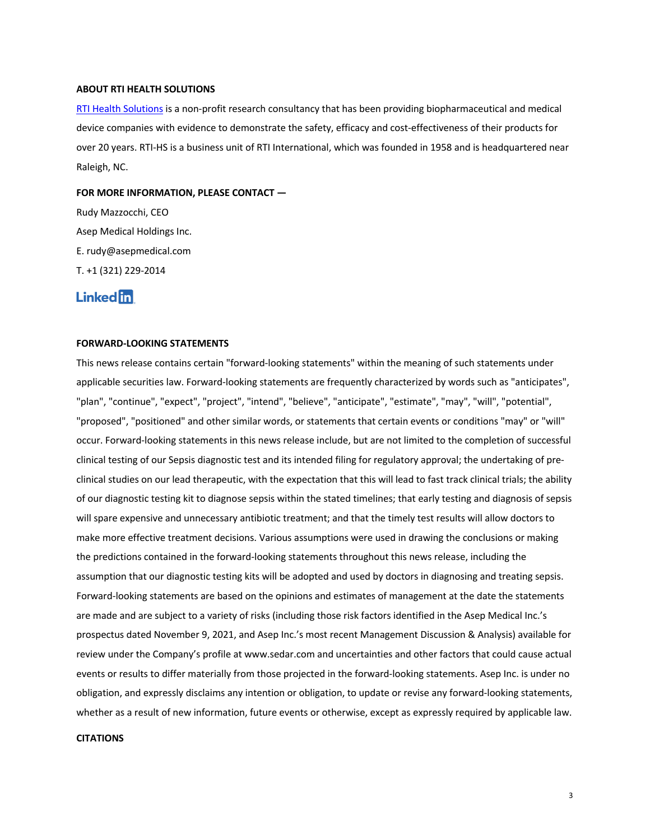#### **ABOUT RTI HEALTH SOLUTIONS**

RTI Health Solutions is a non-profit research consultancy that has been providing biopharmaceutical and medical device companies with evidence to demonstrate the safety, efficacy and cost-effectiveness of their products for over 20 years. RTI-HS is a business unit of RTI International, which was founded in 1958 and is headquartered near Raleigh, NC.

#### **FOR MORE INFORMATION, PLEASE CONTACT —**

Rudy Mazzocchi, CEO Asep Medical Holdings Inc. E. rudy@asepmedical.com T. +1 (321) 229-2014

## **Linked** in

#### **FORWARD-LOOKING STATEMENTS**

This news release contains certain "forward-looking statements" within the meaning of such statements under applicable securities law. Forward-looking statements are frequently characterized by words such as "anticipates", "plan", "continue", "expect", "project", "intend", "believe", "anticipate", "estimate", "may", "will", "potential", "proposed", "positioned" and other similar words, or statements that certain events or conditions "may" or "will" occur. Forward-looking statements in this news release include, but are not limited to the completion of successful clinical testing of our Sepsis diagnostic test and its intended filing for regulatory approval; the undertaking of preclinical studies on our lead therapeutic, with the expectation that this will lead to fast track clinical trials; the ability of our diagnostic testing kit to diagnose sepsis within the stated timelines; that early testing and diagnosis of sepsis will spare expensive and unnecessary antibiotic treatment; and that the timely test results will allow doctors to make more effective treatment decisions. Various assumptions were used in drawing the conclusions or making the predictions contained in the forward-looking statements throughout this news release, including the assumption that our diagnostic testing kits will be adopted and used by doctors in diagnosing and treating sepsis. Forward-looking statements are based on the opinions and estimates of management at the date the statements are made and are subject to a variety of risks (including those risk factors identified in the Asep Medical Inc.'s prospectus dated November 9, 2021, and Asep Inc.'s most recent Management Discussion & Analysis) available for review under the Company's profile at www.sedar.com and uncertainties and other factors that could cause actual events or results to differ materially from those projected in the forward-looking statements. Asep Inc. is under no obligation, and expressly disclaims any intention or obligation, to update or revise any forward-looking statements, whether as a result of new information, future events or otherwise, except as expressly required by applicable law.

#### **CITATIONS**